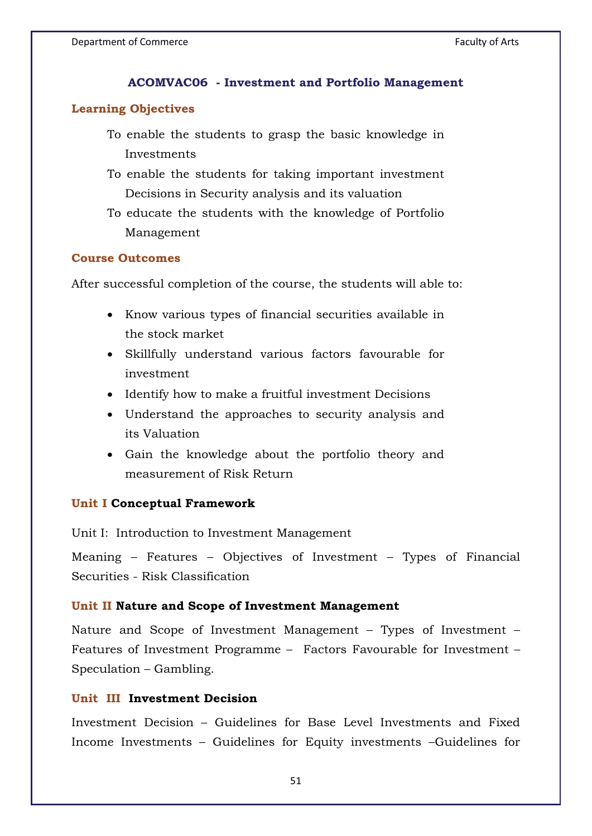### **ACOMVAC06 - Investment and Portfolio Management**

### **Learning Objectives**

- To enable the students to grasp the basic knowledge in Investments
- To enable the students for taking important investment Decisions in Security analysis and its valuation
- To educate the students with the knowledge of Portfolio Management

### **Course Outcomes**

After successful completion of the course, the students will able to:

- Know various types of financial securities available in the stock market
- Skillfully understand various factors favourable for investment
- Identify how to make a fruitful investment Decisions
- Understand the approaches to security analysis and its Valuation
- Gain the knowledge about the portfolio theory and measurement of Risk Return

### **Unit I Conceptual Framework**

Unit I: Introduction to Investment Management

Meaning – Features – Objectives of Investment – Types of Financial Securities - Risk Classification

### **Unit II Nature and Scope of Investment Management**

Nature and Scope of Investment Management – Types of Investment – Features of Investment Programme – Factors Favourable for Investment – Speculation – Gambling.

## **Unit III Investment Decision**

Investment Decision – Guidelines for Base Level Investments and Fixed Income Investments – Guidelines for Equity investments –Guidelines for